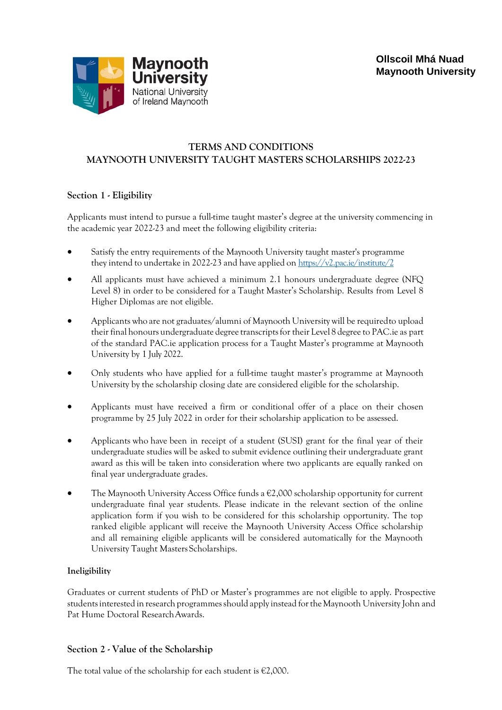

# **TERMS AND CONDITIONS MAYNOOTH UNIVERSITY TAUGHT MASTERS SCHOLARSHIPS 2022-23**

# **Section 1 - Eligibility**

Applicants must intend to pursue a full-time taught master's degree at the university commencing in the academic year 2022-23 and meet the following eligibility criteria:

- Satisfy the entry requirements of the Maynooth University taught master's programme they intend to undertake in 2022-23 and have applied on <https://v2.pac.ie/institute/2>
- All applicants must have achieved a minimum 2.1 honours undergraduate degree (NFQ Level 8) in order to be considered for a Taught Master's Scholarship. Results from Level 8 Higher Diplomas are not eligible.
- Applicants who are not graduates/alumni of Maynooth University will be requiredto upload their final honours undergraduate degree transcriptsfor their Level 8 degree to PAC.ie as part of the standard PAC.ie application process for a Taught Master's programme at Maynooth University by 1 July 2022.
- Only students who have applied for a full-time taught master's programme at Maynooth University by the scholarship closing date are considered eligible for the scholarship.
- Applicants must have received a firm or conditional offer of a place on their chosen programme by 25 July 2022 in order for their scholarship application to be assessed.
- Applicants who have been in receipt of a student (SUSI) grant for the final year of their undergraduate studies will be asked to submit evidence outlining their undergraduate grant award as this will be taken into consideration where two applicants are equally ranked on final year undergraduate grades.
- The Maynooth University Access Office funds a  $E2,000$  scholarship opportunity for current undergraduate final year students. Please indicate in the relevant section of the online application form if you wish to be considered for this scholarship opportunity. The top ranked eligible applicant will receive the Maynooth University Access Office scholarship and all remaining eligible applicants will be considered automatically for the Maynooth University Taught Masters Scholarships.

## **Ineligibility**

Graduates or current students of PhD or Master's programmes are not eligible to apply. Prospective students interested in research programmes should apply instead for the Maynooth University John and Pat Hume Doctoral ResearchAwards.

## **Section 2 - Value of the Scholarship**

The total value of the scholarship for each student is  $E2,000$ .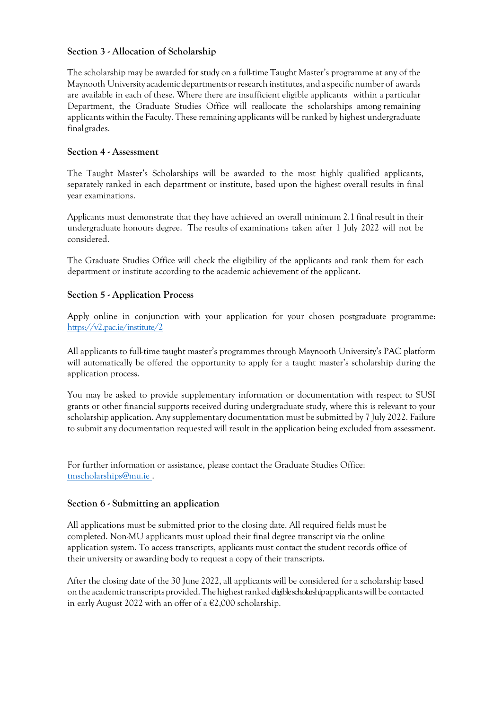## **Section 3 - Allocation of Scholarship**

The scholarship may be awarded for study on a full-time Taught Master's programme at any of the Maynooth University academic departments orresearch institutes, and a specific number of awards are available in each of these. Where there are insufficient eligible applicants within a particular Department, the Graduate Studies Office will reallocate the scholarships among remaining applicants within the Faculty. These remaining applicants will be ranked by highest undergraduate finalgrades.

#### **Section 4 - Assessment**

The Taught Master's Scholarships will be awarded to the most highly qualified applicants, separately ranked in each department or institute, based upon the highest overall results in final year examinations.

Applicants must demonstrate that they have achieved an overall minimum 2.1 final result in their undergraduate honours degree. The results of examinations taken after 1 July 2022 will not be considered.

The Graduate Studies Office will check the eligibility of the applicants and rank them for each department or institute according to the academic achievement of the applicant.

### **Section 5 - Application Process**

Apply online in conjunction with your application for your chosen postgraduate programme: <https://v2.pac.ie/institute/2>

All applicants to full-time taught master's programmes through Maynooth University's PAC platform will automatically be offered the opportunity to apply for a taught master's scholarship during the application process.

You may be asked to provide supplementary information or documentation with respect to SUSI grants or other financial supports received during undergraduate study, where this is relevant to your scholarship application. Any supplementary documentation must be submitted by 7 July 2022. Failure to submit any documentation requested will result in the application being excluded from assessment.

For further information or assistance, please contact the Graduate Studies Office: tmscholarships@mu.ie .

#### **Section 6 - Submitting an application**

All applications must be submitted prior to the closing date. All required fields must be completed. Non-MU applicants must upload their final degree transcript via the online application system. To access transcripts, applicants must contact the student records office of their university or awarding body to request a copy of their transcripts.

After the closing date of the 30 June 2022, all applicants will be considered for a scholarship based on the academic transcripts provided. The highest ranked eligible scholarship applicants will be contacted in early August 2022 with an offer of a €2,000 scholarship.